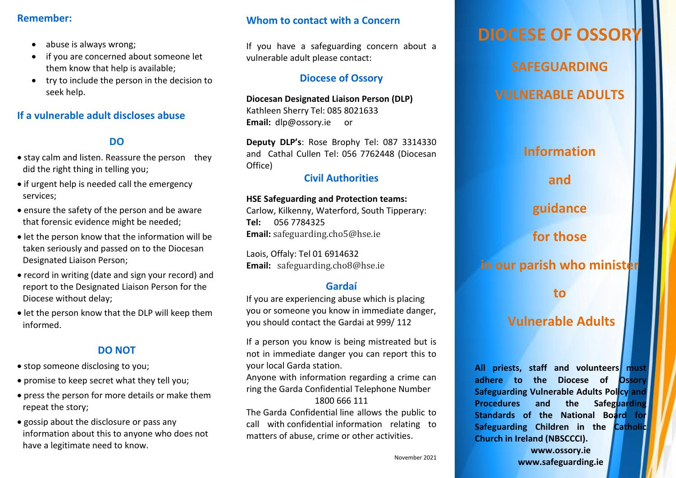### **Remember:**

- abuse is always wrong;
- if you are concerned about someone let them know that help is available;
- try to include the person in the decision to seek help.

## **If a vulnerable adult discloses abuse**

## **DO**

- stay calm and listen. Reassure the person they did the right thing in telling you;
- if urgent help is needed call the emergency services;
- ensure the safety of the person and be aware that forensic evidence might be needed;
- let the person know that the information will be taken seriously and passed on to the Diocesan Designated Liaison Person;
- record in writing (date and sign your record) and report to the Designated Liaison Person for the Diocese without delay;
- let the person know that the DLP will keep them informed.

## **DO NOT**

- stop someone disclosing to you:
- promise to keep secret what they tell you;
- press the person for more details or make them repeat the story;
- gossip about the disclosure or pass any information about this to anyone who does not have a legitimate need to know.

## **Whom to contact with a Concern**

If you have a safeguarding concern about a vulnerable adult please contact:

## **Diocese of Ossory**

**Diocesan Designated Liaison Person (DLP)**  Kathleen Sherry Tel: 085 8021633 **Email:** dlp@ossory.ie or

**Deputy DLP's**: Rose Brophy Tel: 087 3314330 and Cathal Cullen Tel: 056 7762448 (Diocesan Office)

## **Civil Authorities**

### **HSE Safeguarding and Protection teams:**

Carlow, Kilkenny, Waterford, South Tipperary: **Tel:** 056 7784325 **Email:** [safeguarding.cho5@hse.ie](mailto:safeguarding.cho5@hse.ie)

Laois, Offaly: Tel 01 6914632 **Email:** [safeguarding.cho8@hse.ie](mailto:safeguarding.cho8@hse.ie)

## **Gardaí**

If you are experiencing abuse which is placing you or someone you know in immediate danger, you should contact the Gardai at 999/ 112

If a person you know is being mistreated but is not in immediate danger you can report this to your local Garda station.

Anyone with information regarding a crime can ring the Garda Confidential Telephone Number 1800 666 111

The Garda Confidential line allows the public to call with confidential information relating to matters of abuse, crime or other activities.

# **DIOCESE OF OSSORY**

**SAFEGUARDING**

**VULNERABLE ADULTS**

## **Information**

**and**

**guidance** 

**for those** 

**in our parish who minister**

**to** 

## **Vulnerable Adults**

**All priests, staff and volunteers must adhere to the Diocese of Ossory Safeguarding Vulnerable Adults Policy and Procedures and the Safeguarding Standards of the National Board for Safeguarding Children in the Catholic Church in Ireland (NBSCCCI).**

> **[www.ossory.ie](http://www.ossory.ie/) [www.safeguarding.ie](http://www.safeguarding.ie/)**